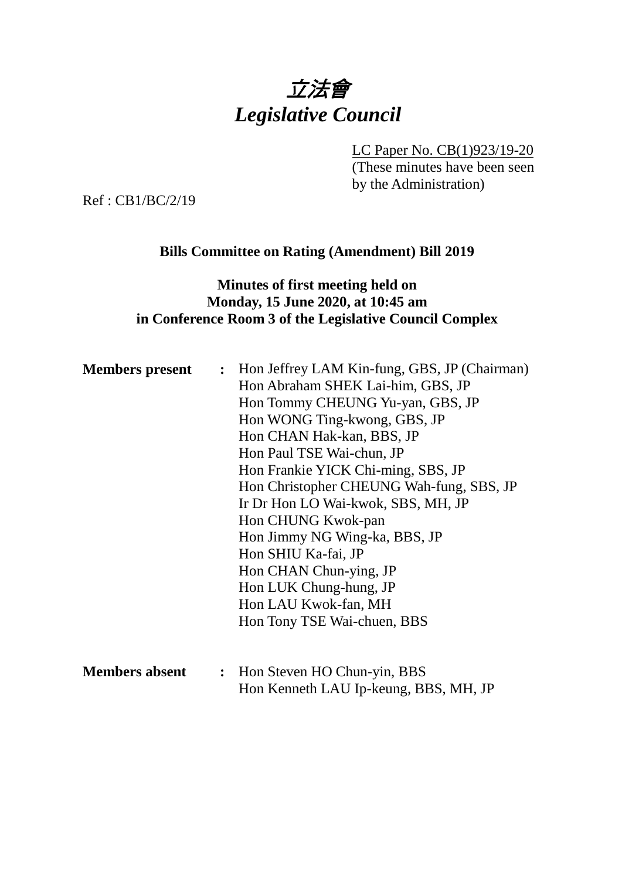# 立法會 *Legislative Council*

LC Paper No. CB(1)923/19-20

(These minutes have been seen by the Administration)

Ref : CB1/BC/2/19

#### **Bills Committee on Rating (Amendment) Bill 2019**

## **Minutes of first meeting held on Monday, 15 June 2020, at 10:45 am in Conference Room 3 of the Legislative Council Complex**

| <b>Members</b> present | : Hon Jeffrey LAM Kin-fung, GBS, JP (Chairman) |
|------------------------|------------------------------------------------|
|                        | Hon Abraham SHEK Lai-him, GBS, JP              |
|                        | Hon Tommy CHEUNG Yu-yan, GBS, JP               |
|                        | Hon WONG Ting-kwong, GBS, JP                   |
|                        | Hon CHAN Hak-kan, BBS, JP                      |
|                        | Hon Paul TSE Wai-chun, JP                      |
|                        | Hon Frankie YICK Chi-ming, SBS, JP             |
|                        | Hon Christopher CHEUNG Wah-fung, SBS, JP       |
|                        | Ir Dr Hon LO Wai-kwok, SBS, MH, JP             |
|                        | Hon CHUNG Kwok-pan                             |
|                        | Hon Jimmy NG Wing-ka, BBS, JP                  |
|                        | Hon SHIU Ka-fai, JP                            |
|                        | Hon CHAN Chun-ying, JP                         |
|                        | Hon LUK Chung-hung, JP                         |
|                        | Hon LAU Kwok-fan, MH                           |
|                        | Hon Tony TSE Wai-chuen, BBS                    |
|                        |                                                |
|                        |                                                |

**Members absent :** Hon Steven HO Chun-yin, BBS Hon Kenneth LAU Ip-keung, BBS, MH, JP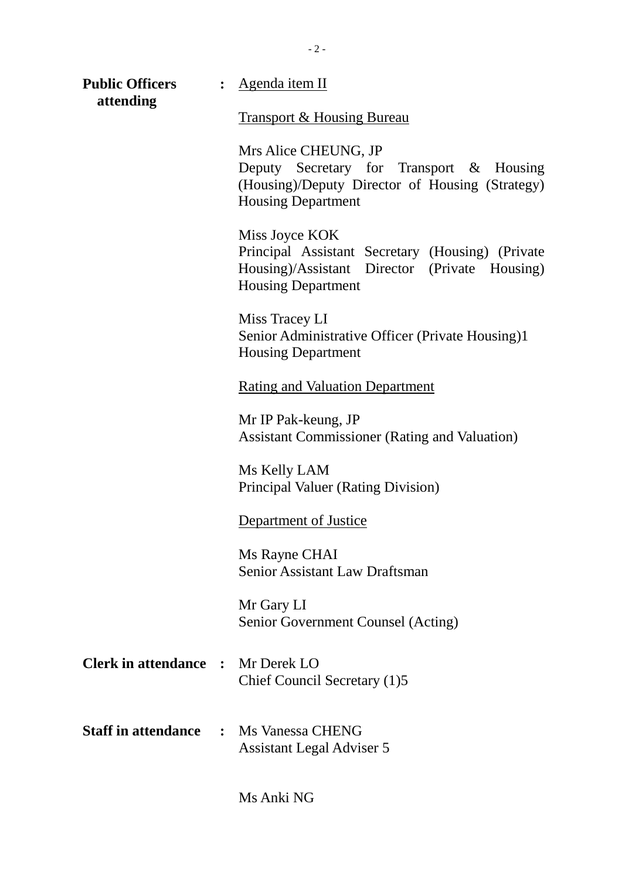| <b>Public Officers</b><br>attending | $\ddot{\cdot}$ | <u>Agenda item II</u>                                                                                                                            |
|-------------------------------------|----------------|--------------------------------------------------------------------------------------------------------------------------------------------------|
|                                     |                | <b>Transport &amp; Housing Bureau</b>                                                                                                            |
|                                     |                | Mrs Alice CHEUNG, JP<br>Deputy Secretary for Transport & Housing<br>(Housing)/Deputy Director of Housing (Strategy)<br><b>Housing Department</b> |
|                                     |                | Miss Joyce KOK<br>Principal Assistant Secretary (Housing) (Private<br>Housing)/Assistant Director (Private Housing)<br><b>Housing Department</b> |
|                                     |                | Miss Tracey LI<br>Senior Administrative Officer (Private Housing)1<br><b>Housing Department</b>                                                  |
|                                     |                | <b>Rating and Valuation Department</b>                                                                                                           |
|                                     |                | Mr IP Pak-keung, JP<br><b>Assistant Commissioner (Rating and Valuation)</b>                                                                      |
|                                     |                | Ms Kelly LAM<br><b>Principal Valuer (Rating Division)</b>                                                                                        |
|                                     |                | Department of Justice                                                                                                                            |
|                                     |                | Ms Rayne CHAI<br><b>Senior Assistant Law Draftsman</b>                                                                                           |
|                                     |                | Mr Gary LI<br>Senior Government Counsel (Acting)                                                                                                 |
| <b>Clerk in attendance</b>          | $\mathbf{r}$   | Mr Derek LO<br>Chief Council Secretary (1)5                                                                                                      |
|                                     |                | <b>Staff in attendance : Ms Vanessa CHENG</b><br><b>Assistant Legal Adviser 5</b>                                                                |

Ms Anki NG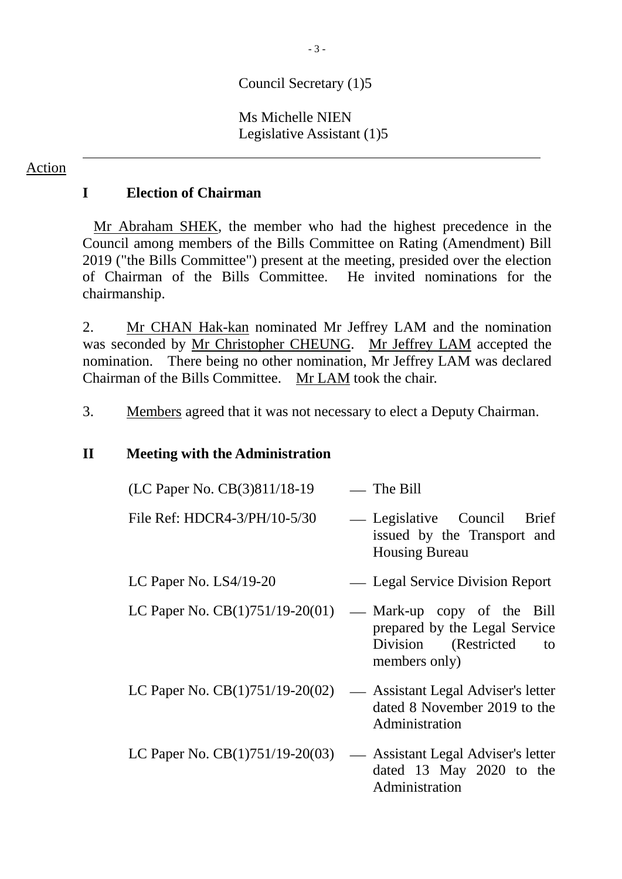## Council Secretary (1)5

#### Ms Michelle NIEN Legislative Assistant (1)5

#### Action

## **I Election of Chairman**

Mr Abraham SHEK, the member who had the highest precedence in the Council among members of the Bills Committee on Rating (Amendment) Bill 2019 ("the Bills Committee") present at the meeting, presided over the election of Chairman of the Bills Committee. He invited nominations for the chairmanship.

2. Mr CHAN Hak-kan nominated Mr Jeffrey LAM and the nomination was seconded by Mr Christopher CHEUNG. Mr Jeffrey LAM accepted the nomination. There being no other nomination, Mr Jeffrey LAM was declared Chairman of the Bills Committee. Mr LAM took the chair.

3. Members agreed that it was not necessary to elect a Deputy Chairman.

### **II Meeting with the Administration**

| (LC Paper No. CB(3)811/18-19                                         | — The Bill                                                                                                 |
|----------------------------------------------------------------------|------------------------------------------------------------------------------------------------------------|
| File Ref: HDCR4-3/PH/10-5/30                                         | — Legislative Council Brief<br>issued by the Transport and<br><b>Housing Bureau</b>                        |
| LC Paper No. $LS4/19-20$                                             | — Legal Service Division Report                                                                            |
| LC Paper No. $CB(1)751/19-20(01)$                                    | — Mark-up copy of the Bill<br>prepared by the Legal Service<br>Division (Restricted<br>to<br>members only) |
| LC Paper No. $CB(1)751/19-20(02)$                                    | — Assistant Legal Adviser's letter<br>dated 8 November 2019 to the<br>Administration                       |
| LC Paper No. $CB(1)751/19-20(03)$ — Assistant Legal Adviser's letter | dated 13 May 2020 to the<br>Administration                                                                 |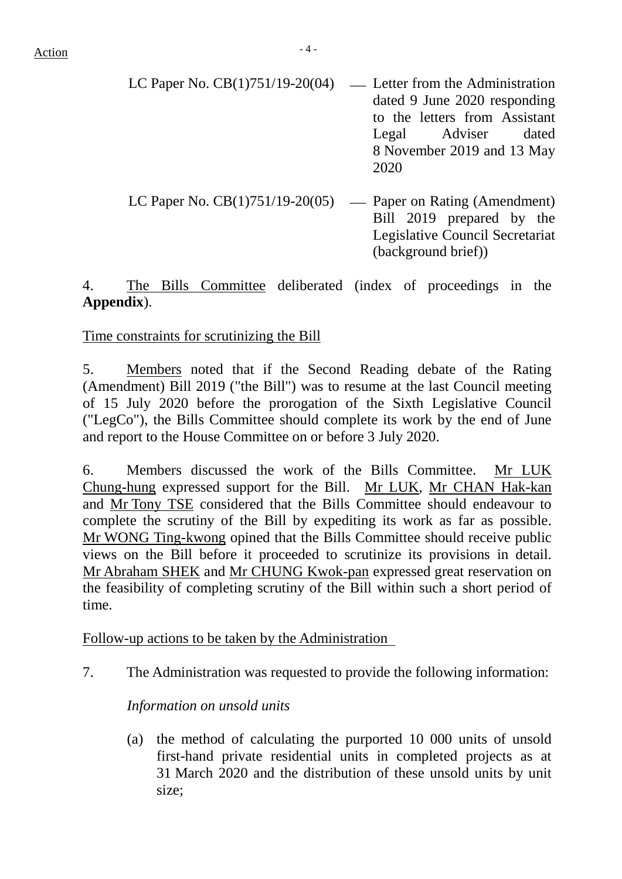| LC Paper No. $CB(1)751/19-20(04)$ — Letter from the Administration<br>dated 9 June 2020 responding<br>to the letters from Assistant<br>Legal Adviser dated<br>8 November 2019 and 13 May<br>2020 |
|--------------------------------------------------------------------------------------------------------------------------------------------------------------------------------------------------|
| LC Paper No. $CB(1)751/19-20(05)$ — Paper on Rating (Amendment)                                                                                                                                  |

LC Paper No.  $CB(1)751/19-20(05)$  — Paper on Rating (Amendment) Bill 2019 prepared by the Legislative Council Secretariat (background brief))

4. The Bills Committee deliberated (index of proceedings in the **Appendix**).

## Time constraints for scrutinizing the Bill

5. Members noted that if the Second Reading debate of the Rating (Amendment) Bill 2019 ("the Bill") was to resume at the last Council meeting of 15 July 2020 before the prorogation of the Sixth Legislative Council ("LegCo"), the Bills Committee should complete its work by the end of June and report to the House Committee on or before 3 July 2020.

6. Members discussed the work of the Bills Committee. Mr LUK Chung-hung expressed support for the Bill. Mr LUK, Mr CHAN Hak-kan and Mr Tony TSE considered that the Bills Committee should endeavour to complete the scrutiny of the Bill by expediting its work as far as possible. Mr WONG Ting-kwong opined that the Bills Committee should receive public views on the Bill before it proceeded to scrutinize its provisions in detail. Mr Abraham SHEK and Mr CHUNG Kwok-pan expressed great reservation on the feasibility of completing scrutiny of the Bill within such a short period of time.

Follow-up actions to be taken by the Administration

7. The Administration was requested to provide the following information:

## *Information on unsold units*

(a) the method of calculating the purported 10 000 units of unsold first-hand private residential units in completed projects as at 31 March 2020 and the distribution of these unsold units by unit size;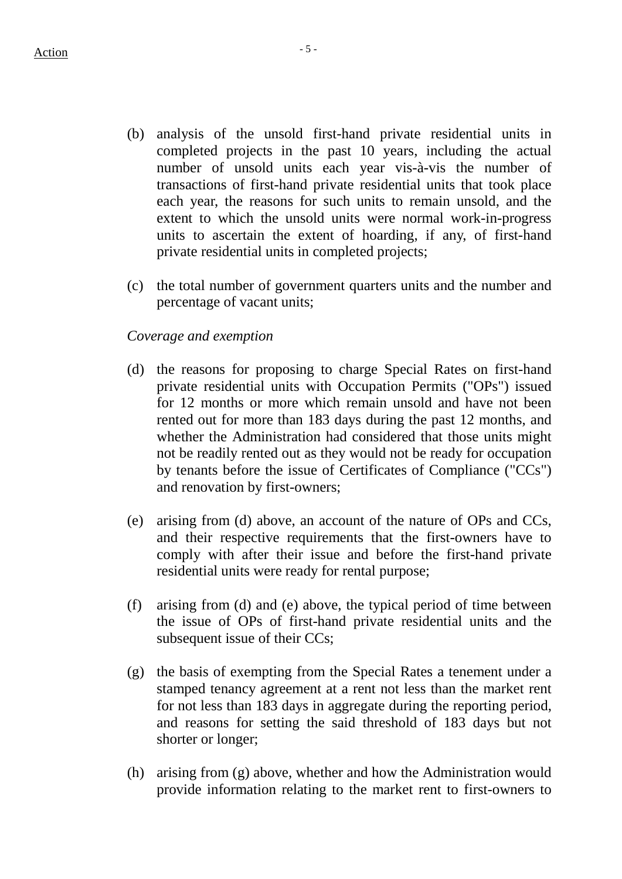- (b) analysis of the unsold first-hand private residential units in completed projects in the past 10 years, including the actual number of unsold units each year vis-à-vis the number of transactions of first-hand private residential units that took place each year, the reasons for such units to remain unsold, and the extent to which the unsold units were normal work-in-progress units to ascertain the extent of hoarding, if any, of first-hand private residential units in completed projects;
- (c) the total number of government quarters units and the number and percentage of vacant units;

#### *Coverage and exemption*

- (d) the reasons for proposing to charge Special Rates on first-hand private residential units with Occupation Permits ("OPs") issued for 12 months or more which remain unsold and have not been rented out for more than 183 days during the past 12 months, and whether the Administration had considered that those units might not be readily rented out as they would not be ready for occupation by tenants before the issue of Certificates of Compliance ("CCs") and renovation by first-owners;
- (e) arising from (d) above, an account of the nature of OPs and CCs, and their respective requirements that the first-owners have to comply with after their issue and before the first-hand private residential units were ready for rental purpose;
- (f) arising from (d) and (e) above, the typical period of time between the issue of OPs of first-hand private residential units and the subsequent issue of their CCs;
- (g) the basis of exempting from the Special Rates a tenement under a stamped tenancy agreement at a rent not less than the market rent for not less than 183 days in aggregate during the reporting period, and reasons for setting the said threshold of 183 days but not shorter or longer;
- (h) arising from (g) above, whether and how the Administration would provide information relating to the market rent to first-owners to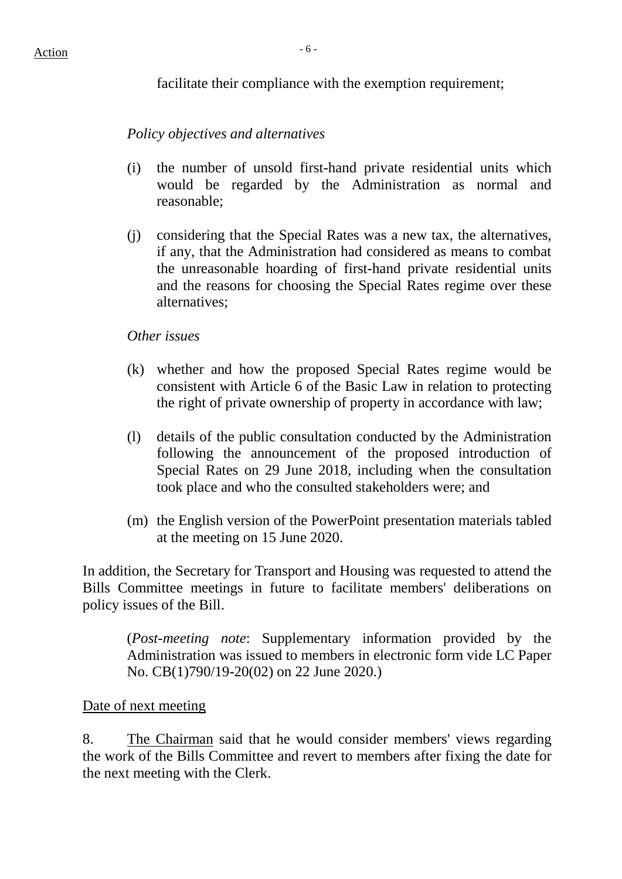facilitate their compliance with the exemption requirement;

*Policy objectives and alternatives*

- (i) the number of unsold first-hand private residential units which would be regarded by the Administration as normal and reasonable;
- (j) considering that the Special Rates was a new tax, the alternatives, if any, that the Administration had considered as means to combat the unreasonable hoarding of first-hand private residential units and the reasons for choosing the Special Rates regime over these alternatives;

#### *Other issues*

- (k) whether and how the proposed Special Rates regime would be consistent with Article 6 of the Basic Law in relation to protecting the right of private ownership of property in accordance with law;
- (l) details of the public consultation conducted by the Administration following the announcement of the proposed introduction of Special Rates on 29 June 2018, including when the consultation took place and who the consulted stakeholders were; and
- (m) the English version of the PowerPoint presentation materials tabled at the meeting on 15 June 2020.

In addition, the Secretary for Transport and Housing was requested to attend the Bills Committee meetings in future to facilitate members' deliberations on policy issues of the Bill.

(*Post-meeting note*: Supplementary information provided by the Administration was issued to members in electronic form vide LC Paper No. CB(1)790/19-20(02) on 22 June 2020.)

#### Date of next meeting

8. The Chairman said that he would consider members' views regarding the work of the Bills Committee and revert to members after fixing the date for the next meeting with the Clerk.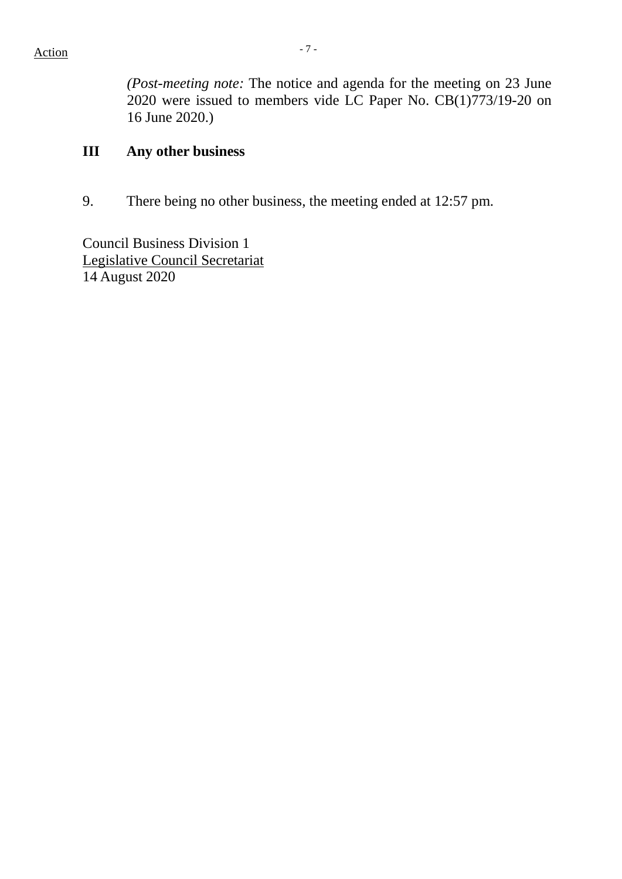*(Post-meeting note:* The notice and agenda for the meeting on 23 June 2020 were issued to members vide LC Paper No. CB(1)773/19-20 on 16 June 2020.)

## **III Any other business**

9. There being no other business, the meeting ended at 12:57 pm.

Council Business Division 1 Legislative Council Secretariat 14 August 2020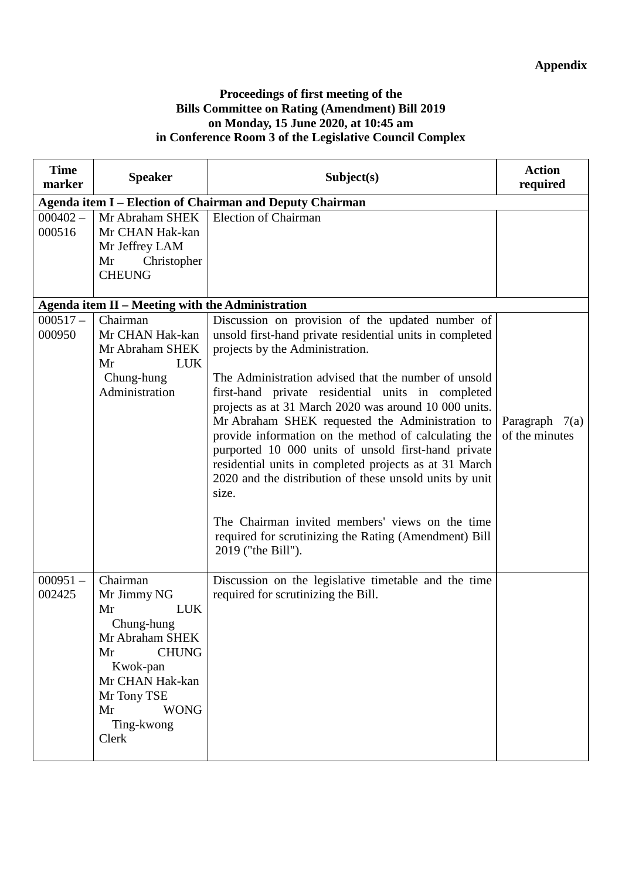#### **Proceedings of first meeting of the Bills Committee on Rating (Amendment) Bill 2019 on Monday, 15 June 2020, at 10:45 am in Conference Room 3 of the Legislative Council Complex**

| <b>Time</b><br>marker | <b>Speaker</b>                                                                                                                                                                               | Subject(s)                                                                                                                                                                                                                                                                                                                                                                                                                                                                                                                                                                                                                                                                                                                                              | <b>Action</b><br>required          |
|-----------------------|----------------------------------------------------------------------------------------------------------------------------------------------------------------------------------------------|---------------------------------------------------------------------------------------------------------------------------------------------------------------------------------------------------------------------------------------------------------------------------------------------------------------------------------------------------------------------------------------------------------------------------------------------------------------------------------------------------------------------------------------------------------------------------------------------------------------------------------------------------------------------------------------------------------------------------------------------------------|------------------------------------|
|                       |                                                                                                                                                                                              | Agenda item I - Election of Chairman and Deputy Chairman                                                                                                                                                                                                                                                                                                                                                                                                                                                                                                                                                                                                                                                                                                |                                    |
| $000402 -$<br>000516  | Mr Abraham SHEK<br>Mr CHAN Hak-kan<br>Mr Jeffrey LAM<br>Mr<br>Christopher<br><b>CHEUNG</b>                                                                                                   | <b>Election of Chairman</b>                                                                                                                                                                                                                                                                                                                                                                                                                                                                                                                                                                                                                                                                                                                             |                                    |
|                       | Agenda item II - Meeting with the Administration                                                                                                                                             |                                                                                                                                                                                                                                                                                                                                                                                                                                                                                                                                                                                                                                                                                                                                                         |                                    |
| $000517 -$<br>000950  | Chairman<br>Mr CHAN Hak-kan<br>Mr Abraham SHEK<br>Mr<br><b>LUK</b><br>Chung-hung<br>Administration                                                                                           | Discussion on provision of the updated number of<br>unsold first-hand private residential units in completed<br>projects by the Administration.<br>The Administration advised that the number of unsold<br>first-hand private residential units in completed<br>projects as at 31 March 2020 was around 10 000 units.<br>Mr Abraham SHEK requested the Administration to<br>provide information on the method of calculating the<br>purported 10 000 units of unsold first-hand private<br>residential units in completed projects as at 31 March<br>2020 and the distribution of these unsold units by unit<br>size.<br>The Chairman invited members' views on the time<br>required for scrutinizing the Rating (Amendment) Bill<br>2019 ("the Bill"). | Paragraph $7(a)$<br>of the minutes |
| $000951 -$<br>002425  | Chairman<br>Mr Jimmy NG<br>Mr<br><b>LUK</b><br>Chung-hung<br>Mr Abraham SHEK<br><b>CHUNG</b><br>Mr<br>Kwok-pan<br>Mr CHAN Hak-kan<br>Mr Tony TSE<br><b>WONG</b><br>Mr<br>Ting-kwong<br>Clerk | Discussion on the legislative timetable and the time<br>required for scrutinizing the Bill.                                                                                                                                                                                                                                                                                                                                                                                                                                                                                                                                                                                                                                                             |                                    |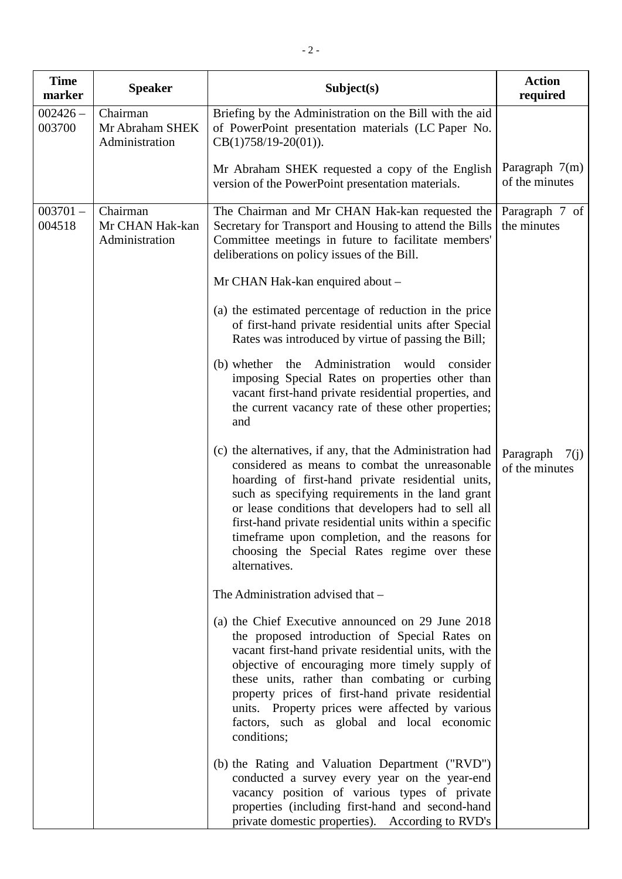| <b>Time</b><br>marker | <b>Speaker</b>                                | Subject(s)                                                                                                                                                                                                                                                                                                                                                                                                                                                | <b>Action</b><br>required           |
|-----------------------|-----------------------------------------------|-----------------------------------------------------------------------------------------------------------------------------------------------------------------------------------------------------------------------------------------------------------------------------------------------------------------------------------------------------------------------------------------------------------------------------------------------------------|-------------------------------------|
| $002426 -$<br>003700  | Chairman<br>Mr Abraham SHEK<br>Administration | Briefing by the Administration on the Bill with the aid<br>of PowerPoint presentation materials (LC Paper No.<br>$CB(1)758/19-20(01)).$                                                                                                                                                                                                                                                                                                                   |                                     |
|                       |                                               | Mr Abraham SHEK requested a copy of the English<br>version of the PowerPoint presentation materials.                                                                                                                                                                                                                                                                                                                                                      | Paragraph $7(m)$<br>of the minutes  |
| $003701 -$<br>004518  | Chairman<br>Mr CHAN Hak-kan<br>Administration | The Chairman and Mr CHAN Hak-kan requested the<br>Secretary for Transport and Housing to attend the Bills<br>Committee meetings in future to facilitate members'<br>deliberations on policy issues of the Bill.                                                                                                                                                                                                                                           | Paragraph 7 of<br>the minutes       |
|                       |                                               | Mr CHAN Hak-kan enquired about -                                                                                                                                                                                                                                                                                                                                                                                                                          |                                     |
|                       |                                               | (a) the estimated percentage of reduction in the price<br>of first-hand private residential units after Special<br>Rates was introduced by virtue of passing the Bill;                                                                                                                                                                                                                                                                                    |                                     |
|                       |                                               | (b) whether the Administration would<br>consider<br>imposing Special Rates on properties other than<br>vacant first-hand private residential properties, and<br>the current vacancy rate of these other properties;<br>and                                                                                                                                                                                                                                |                                     |
|                       |                                               | (c) the alternatives, if any, that the Administration had<br>considered as means to combat the unreasonable<br>hoarding of first-hand private residential units,<br>such as specifying requirements in the land grant<br>or lease conditions that developers had to sell all<br>first-hand private residential units within a specific<br>timeframe upon completion, and the reasons for<br>choosing the Special Rates regime over these<br>alternatives. | Paragraph<br>7(j)<br>of the minutes |
|                       |                                               | The Administration advised that -                                                                                                                                                                                                                                                                                                                                                                                                                         |                                     |
|                       |                                               | (a) the Chief Executive announced on 29 June 2018<br>the proposed introduction of Special Rates on<br>vacant first-hand private residential units, with the<br>objective of encouraging more timely supply of<br>these units, rather than combating or curbing<br>property prices of first-hand private residential<br>units. Property prices were affected by various<br>factors, such as global and local economic<br>conditions;                       |                                     |
|                       |                                               | (b) the Rating and Valuation Department ("RVD")<br>conducted a survey every year on the year-end<br>vacancy position of various types of private<br>properties (including first-hand and second-hand<br>private domestic properties). According to RVD's                                                                                                                                                                                                  |                                     |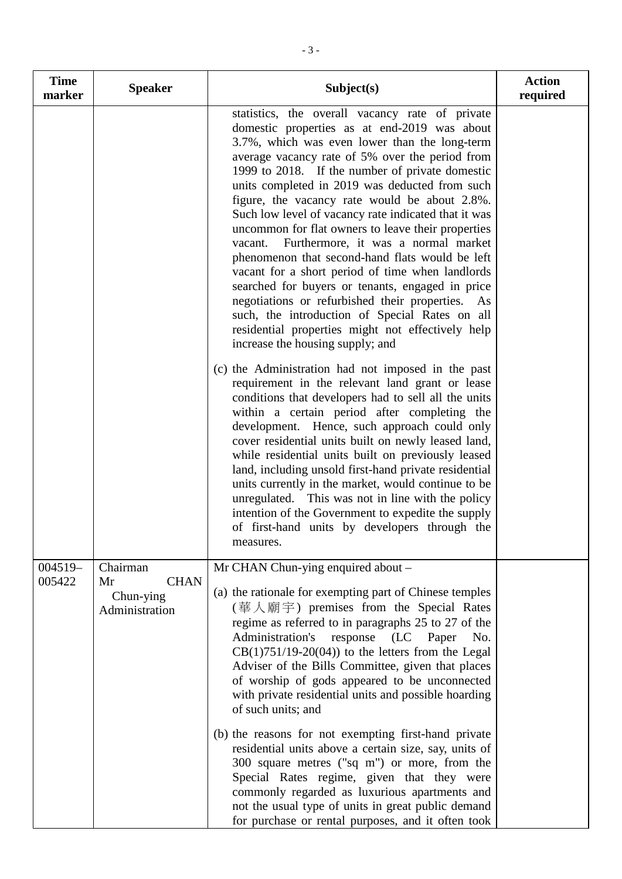| <b>Time</b><br>marker | <b>Speaker</b>                                               | Subject(s)                                                                                                                                                                                                                                                                                                                                                                                                                                                                                                                                                                                                                                                                                                                                                                                                                                                                          | <b>Action</b><br>required |
|-----------------------|--------------------------------------------------------------|-------------------------------------------------------------------------------------------------------------------------------------------------------------------------------------------------------------------------------------------------------------------------------------------------------------------------------------------------------------------------------------------------------------------------------------------------------------------------------------------------------------------------------------------------------------------------------------------------------------------------------------------------------------------------------------------------------------------------------------------------------------------------------------------------------------------------------------------------------------------------------------|---------------------------|
|                       |                                                              | statistics, the overall vacancy rate of private<br>domestic properties as at end-2019 was about<br>3.7%, which was even lower than the long-term<br>average vacancy rate of 5% over the period from<br>1999 to 2018. If the number of private domestic<br>units completed in 2019 was deducted from such<br>figure, the vacancy rate would be about 2.8%.<br>Such low level of vacancy rate indicated that it was<br>uncommon for flat owners to leave their properties<br>Furthermore, it was a normal market<br>vacant.<br>phenomenon that second-hand flats would be left<br>vacant for a short period of time when landlords<br>searched for buyers or tenants, engaged in price<br>negotiations or refurbished their properties. As<br>such, the introduction of Special Rates on all<br>residential properties might not effectively help<br>increase the housing supply; and |                           |
|                       |                                                              | (c) the Administration had not imposed in the past<br>requirement in the relevant land grant or lease<br>conditions that developers had to sell all the units<br>within a certain period after completing the<br>development. Hence, such approach could only<br>cover residential units built on newly leased land,<br>while residential units built on previously leased<br>land, including unsold first-hand private residential<br>units currently in the market, would continue to be<br>unregulated. This was not in line with the policy<br>intention of the Government to expedite the supply<br>of first-hand units by developers through the<br>measures.                                                                                                                                                                                                                 |                           |
| $004519-$<br>005422   | Chairman<br><b>CHAN</b><br>Mr<br>Chun-ying<br>Administration | Mr CHAN Chun-ying enquired about -<br>(a) the rationale for exempting part of Chinese temples<br>(華人廟宇) premises from the Special Rates<br>regime as referred to in paragraphs 25 to 27 of the<br>Administration's<br>response<br>(LC Paper<br>No.<br>$CB(1)751/19-20(04))$ to the letters from the Legal<br>Adviser of the Bills Committee, given that places<br>of worship of gods appeared to be unconnected<br>with private residential units and possible hoarding<br>of such units; and                                                                                                                                                                                                                                                                                                                                                                                       |                           |
|                       |                                                              | (b) the reasons for not exempting first-hand private<br>residential units above a certain size, say, units of<br>300 square metres ("sq m") or more, from the<br>Special Rates regime, given that they were<br>commonly regarded as luxurious apartments and<br>not the usual type of units in great public demand<br>for purchase or rental purposes, and it often took                                                                                                                                                                                                                                                                                                                                                                                                                                                                                                            |                           |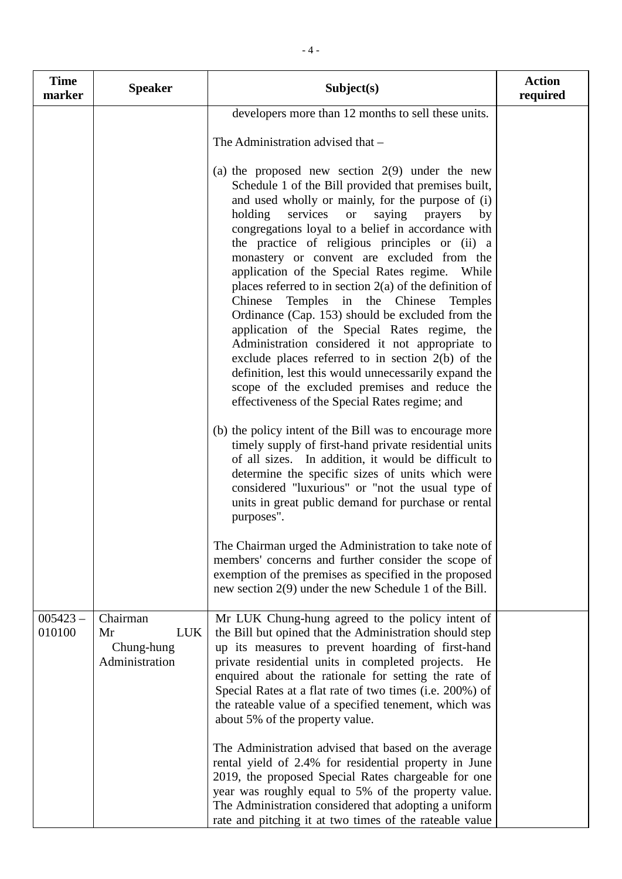| <b>Time</b><br>marker | <b>Speaker</b>                                               | Subject(s)                                                                                                                                                                                                                                                                                                                                                                                                                                                                                                                                                                                                                                                                                                                                                                                                                                                                                                                | <b>Action</b><br>required |
|-----------------------|--------------------------------------------------------------|---------------------------------------------------------------------------------------------------------------------------------------------------------------------------------------------------------------------------------------------------------------------------------------------------------------------------------------------------------------------------------------------------------------------------------------------------------------------------------------------------------------------------------------------------------------------------------------------------------------------------------------------------------------------------------------------------------------------------------------------------------------------------------------------------------------------------------------------------------------------------------------------------------------------------|---------------------------|
|                       |                                                              | developers more than 12 months to sell these units.                                                                                                                                                                                                                                                                                                                                                                                                                                                                                                                                                                                                                                                                                                                                                                                                                                                                       |                           |
|                       |                                                              | The Administration advised that -                                                                                                                                                                                                                                                                                                                                                                                                                                                                                                                                                                                                                                                                                                                                                                                                                                                                                         |                           |
|                       |                                                              | (a) the proposed new section $2(9)$ under the new<br>Schedule 1 of the Bill provided that premises built,<br>and used wholly or mainly, for the purpose of (i)<br>services<br>holding<br><b>or</b><br>saying<br>prayers<br>by<br>congregations loyal to a belief in accordance with<br>the practice of religious principles or (ii) a<br>monastery or convent are excluded from the<br>application of the Special Rates regime. While<br>places referred to in section 2(a) of the definition of<br>Chinese<br>Temples in the Chinese<br>Temples<br>Ordinance (Cap. 153) should be excluded from the<br>application of the Special Rates regime, the<br>Administration considered it not appropriate to<br>exclude places referred to in section $2(b)$ of the<br>definition, lest this would unnecessarily expand the<br>scope of the excluded premises and reduce the<br>effectiveness of the Special Rates regime; and |                           |
|                       |                                                              | (b) the policy intent of the Bill was to encourage more<br>timely supply of first-hand private residential units<br>of all sizes. In addition, it would be difficult to<br>determine the specific sizes of units which were<br>considered "luxurious" or "not the usual type of<br>units in great public demand for purchase or rental<br>purposes".                                                                                                                                                                                                                                                                                                                                                                                                                                                                                                                                                                      |                           |
|                       |                                                              | The Chairman urged the Administration to take note of<br>members' concerns and further consider the scope of<br>exemption of the premises as specified in the proposed<br>new section 2(9) under the new Schedule 1 of the Bill.                                                                                                                                                                                                                                                                                                                                                                                                                                                                                                                                                                                                                                                                                          |                           |
| $005423 -$<br>010100  | Chairman<br><b>LUK</b><br>Mr<br>Chung-hung<br>Administration | Mr LUK Chung-hung agreed to the policy intent of<br>the Bill but opined that the Administration should step<br>up its measures to prevent hoarding of first-hand<br>private residential units in completed projects. He<br>enquired about the rationale for setting the rate of<br>Special Rates at a flat rate of two times (i.e. 200%) of<br>the rateable value of a specified tenement, which was<br>about 5% of the property value.                                                                                                                                                                                                                                                                                                                                                                                                                                                                                   |                           |
|                       |                                                              | The Administration advised that based on the average<br>rental yield of 2.4% for residential property in June<br>2019, the proposed Special Rates chargeable for one<br>year was roughly equal to 5% of the property value.<br>The Administration considered that adopting a uniform<br>rate and pitching it at two times of the rateable value                                                                                                                                                                                                                                                                                                                                                                                                                                                                                                                                                                           |                           |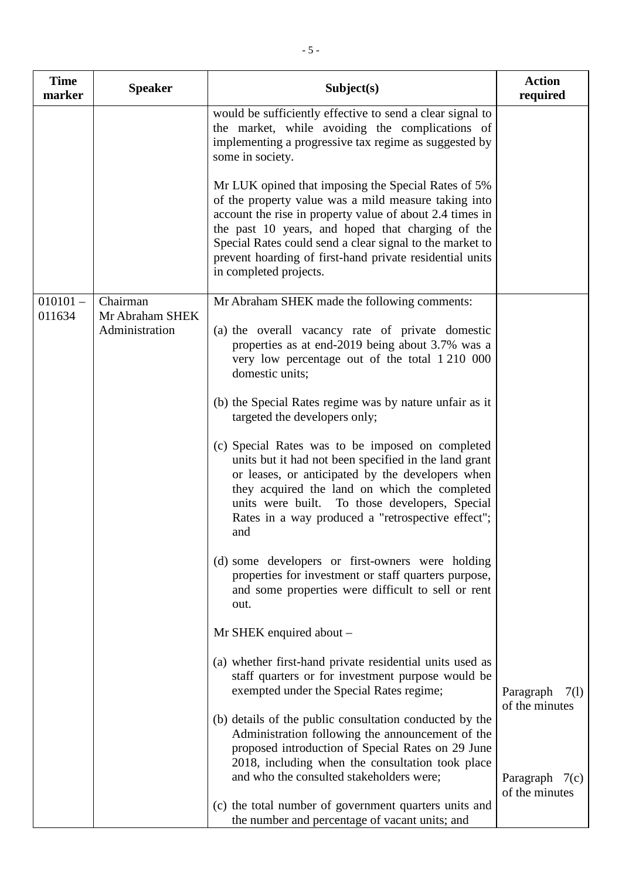| <b>Time</b><br>marker | <b>Speaker</b>                    | Subject(s)                                                                                                                                                                                                                                                                                                                                                                     | <b>Action</b><br>required           |
|-----------------------|-----------------------------------|--------------------------------------------------------------------------------------------------------------------------------------------------------------------------------------------------------------------------------------------------------------------------------------------------------------------------------------------------------------------------------|-------------------------------------|
|                       |                                   | would be sufficiently effective to send a clear signal to<br>the market, while avoiding the complications of<br>implementing a progressive tax regime as suggested by<br>some in society.                                                                                                                                                                                      |                                     |
|                       |                                   | Mr LUK opined that imposing the Special Rates of 5%<br>of the property value was a mild measure taking into<br>account the rise in property value of about 2.4 times in<br>the past 10 years, and hoped that charging of the<br>Special Rates could send a clear signal to the market to<br>prevent hoarding of first-hand private residential units<br>in completed projects. |                                     |
| $010101 -$            | Chairman                          | Mr Abraham SHEK made the following comments:                                                                                                                                                                                                                                                                                                                                   |                                     |
| 011634                | Mr Abraham SHEK<br>Administration | (a) the overall vacancy rate of private domestic<br>properties as at end-2019 being about 3.7% was a<br>very low percentage out of the total 1 210 000<br>domestic units;                                                                                                                                                                                                      |                                     |
|                       |                                   | (b) the Special Rates regime was by nature unfair as it<br>targeted the developers only;                                                                                                                                                                                                                                                                                       |                                     |
|                       |                                   | (c) Special Rates was to be imposed on completed<br>units but it had not been specified in the land grant<br>or leases, or anticipated by the developers when<br>they acquired the land on which the completed<br>units were built. To those developers, Special<br>Rates in a way produced a "retrospective effect";<br>and                                                   |                                     |
|                       |                                   | (d) some developers or first-owners were holding<br>properties for investment or staff quarters purpose,<br>and some properties were difficult to sell or rent<br>out.                                                                                                                                                                                                         |                                     |
|                       |                                   | Mr SHEK enquired about -                                                                                                                                                                                                                                                                                                                                                       |                                     |
|                       |                                   | (a) whether first-hand private residential units used as<br>staff quarters or for investment purpose would be<br>exempted under the Special Rates regime;                                                                                                                                                                                                                      | Paragraph<br>7(1)<br>of the minutes |
|                       |                                   | (b) details of the public consultation conducted by the<br>Administration following the announcement of the<br>proposed introduction of Special Rates on 29 June<br>2018, including when the consultation took place<br>and who the consulted stakeholders were;                                                                                                               | Paragraph $7(c)$<br>of the minutes  |
|                       |                                   | (c) the total number of government quarters units and<br>the number and percentage of vacant units; and                                                                                                                                                                                                                                                                        |                                     |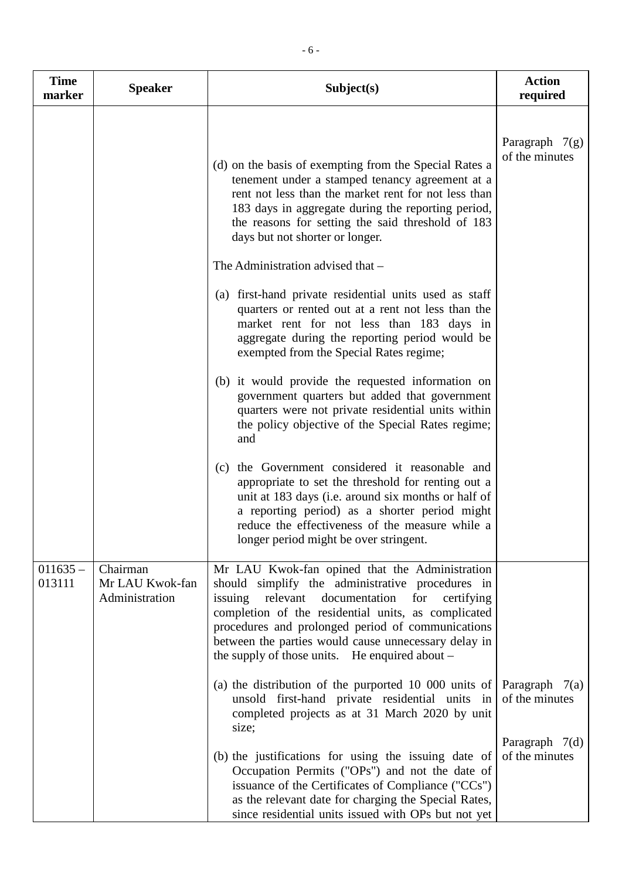| <b>Time</b><br>marker | <b>Speaker</b>                                | Subject(s)                                                                                                                                                                                                                                                                                                                                                                              | <b>Action</b><br>required          |
|-----------------------|-----------------------------------------------|-----------------------------------------------------------------------------------------------------------------------------------------------------------------------------------------------------------------------------------------------------------------------------------------------------------------------------------------------------------------------------------------|------------------------------------|
|                       |                                               | (d) on the basis of exempting from the Special Rates a<br>tenement under a stamped tenancy agreement at a<br>rent not less than the market rent for not less than<br>183 days in aggregate during the reporting period,<br>the reasons for setting the said threshold of 183<br>days but not shorter or longer.                                                                         | Paragraph $7(g)$<br>of the minutes |
|                       |                                               | The Administration advised that -<br>(a) first-hand private residential units used as staff<br>quarters or rented out at a rent not less than the<br>market rent for not less than 183 days in<br>aggregate during the reporting period would be<br>exempted from the Special Rates regime;                                                                                             |                                    |
|                       |                                               | (b) it would provide the requested information on<br>government quarters but added that government<br>quarters were not private residential units within<br>the policy objective of the Special Rates regime;<br>and<br>(c) the Government considered it reasonable and                                                                                                                 |                                    |
|                       |                                               | appropriate to set the threshold for renting out a<br>unit at 183 days (i.e. around six months or half of<br>a reporting period) as a shorter period might<br>reduce the effectiveness of the measure while a<br>longer period might be over stringent.                                                                                                                                 |                                    |
| $011635 -$<br>013111  | Chairman<br>Mr LAU Kwok-fan<br>Administration | Mr LAU Kwok-fan opined that the Administration<br>should simplify the administrative procedures in<br>issuing<br>relevant<br>documentation<br>for<br>certifying<br>completion of the residential units, as complicated<br>procedures and prolonged period of communications<br>between the parties would cause unnecessary delay in<br>the supply of those units. He enquired about $-$ |                                    |
|                       |                                               | (a) the distribution of the purported 10 000 units of<br>unsold first-hand private residential units in<br>completed projects as at 31 March 2020 by unit<br>size;                                                                                                                                                                                                                      | Paragraph $7(a)$<br>of the minutes |
|                       |                                               | (b) the justifications for using the issuing date of<br>Occupation Permits ("OPs") and not the date of<br>issuance of the Certificates of Compliance ("CCs")<br>as the relevant date for charging the Special Rates,<br>since residential units issued with OPs but not yet                                                                                                             | Paragraph $7(d)$<br>of the minutes |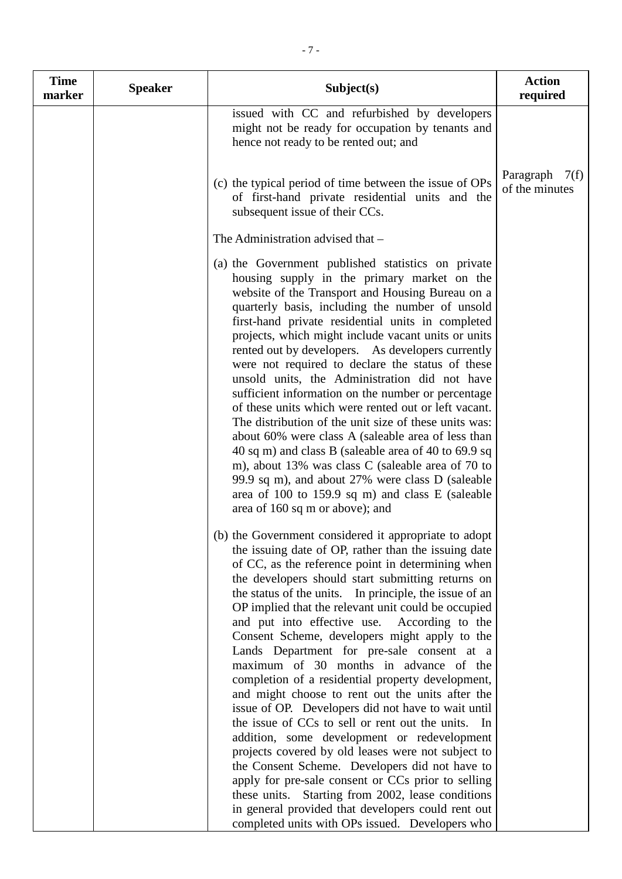| <b>Time</b><br>marker | <b>Speaker</b> | Subject(s)                                                                                                                                                                                                                                                                                                                                                                                                                                                                                                                                                                                                                                                                                                                                                                                                                                                                                                                                                                                                                                                                                                                                | <b>Action</b><br>required           |
|-----------------------|----------------|-------------------------------------------------------------------------------------------------------------------------------------------------------------------------------------------------------------------------------------------------------------------------------------------------------------------------------------------------------------------------------------------------------------------------------------------------------------------------------------------------------------------------------------------------------------------------------------------------------------------------------------------------------------------------------------------------------------------------------------------------------------------------------------------------------------------------------------------------------------------------------------------------------------------------------------------------------------------------------------------------------------------------------------------------------------------------------------------------------------------------------------------|-------------------------------------|
|                       |                | issued with CC and refurbished by developers<br>might not be ready for occupation by tenants and<br>hence not ready to be rented out; and                                                                                                                                                                                                                                                                                                                                                                                                                                                                                                                                                                                                                                                                                                                                                                                                                                                                                                                                                                                                 |                                     |
|                       |                | (c) the typical period of time between the issue of OPs<br>of first-hand private residential units and the<br>subsequent issue of their CCs.                                                                                                                                                                                                                                                                                                                                                                                                                                                                                                                                                                                                                                                                                                                                                                                                                                                                                                                                                                                              | Paragraph<br>7(f)<br>of the minutes |
|                       |                | The Administration advised that -                                                                                                                                                                                                                                                                                                                                                                                                                                                                                                                                                                                                                                                                                                                                                                                                                                                                                                                                                                                                                                                                                                         |                                     |
|                       |                | (a) the Government published statistics on private<br>housing supply in the primary market on the<br>website of the Transport and Housing Bureau on a<br>quarterly basis, including the number of unsold<br>first-hand private residential units in completed<br>projects, which might include vacant units or units<br>rented out by developers. As developers currently<br>were not required to declare the status of these<br>unsold units, the Administration did not have<br>sufficient information on the number or percentage<br>of these units which were rented out or left vacant.<br>The distribution of the unit size of these units was:<br>about 60% were class A (saleable area of less than<br>40 sq m) and class B (saleable area of 40 to 69.9 sq<br>m), about 13% was class C (saleable area of 70 to<br>99.9 sq m), and about 27% were class D (saleable<br>area of 100 to 159.9 sq m) and class E (saleable<br>area of 160 sq m or above); and                                                                                                                                                                       |                                     |
|                       |                | (b) the Government considered it appropriate to adopt<br>the issuing date of OP, rather than the issuing date<br>of CC, as the reference point in determining when<br>the developers should start submitting returns on<br>the status of the units. In principle, the issue of an<br>OP implied that the relevant unit could be occupied<br>and put into effective use.<br>According to the<br>Consent Scheme, developers might apply to the<br>Lands Department for pre-sale consent at a<br>maximum of 30 months in advance of the<br>completion of a residential property development,<br>and might choose to rent out the units after the<br>issue of OP. Developers did not have to wait until<br>the issue of CCs to sell or rent out the units.<br>- In<br>addition, some development or redevelopment<br>projects covered by old leases were not subject to<br>the Consent Scheme. Developers did not have to<br>apply for pre-sale consent or CCs prior to selling<br>these units. Starting from 2002, lease conditions<br>in general provided that developers could rent out<br>completed units with OPs issued. Developers who |                                     |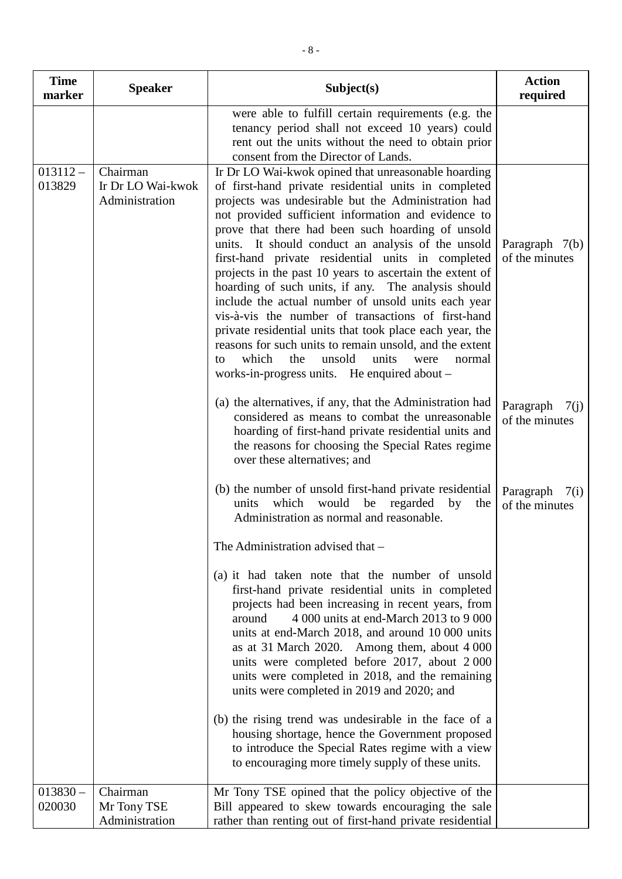| <b>Time</b><br>marker | <b>Speaker</b>                                  | Subject(s)                                                                                                                                                                                                                                                                                                                                                                                                                                                                                                                                                                                                                                                                                                                                                                                                                                                    | <b>Action</b><br>required           |
|-----------------------|-------------------------------------------------|---------------------------------------------------------------------------------------------------------------------------------------------------------------------------------------------------------------------------------------------------------------------------------------------------------------------------------------------------------------------------------------------------------------------------------------------------------------------------------------------------------------------------------------------------------------------------------------------------------------------------------------------------------------------------------------------------------------------------------------------------------------------------------------------------------------------------------------------------------------|-------------------------------------|
|                       |                                                 | were able to fulfill certain requirements (e.g. the<br>tenancy period shall not exceed 10 years) could<br>rent out the units without the need to obtain prior<br>consent from the Director of Lands.                                                                                                                                                                                                                                                                                                                                                                                                                                                                                                                                                                                                                                                          |                                     |
| $013112 -$<br>013829  | Chairman<br>Ir Dr LO Wai-kwok<br>Administration | Ir Dr LO Wai-kwok opined that unreasonable hoarding<br>of first-hand private residential units in completed<br>projects was undesirable but the Administration had<br>not provided sufficient information and evidence to<br>prove that there had been such hoarding of unsold<br>units. It should conduct an analysis of the unsold<br>first-hand private residential units in completed<br>projects in the past 10 years to ascertain the extent of<br>hoarding of such units, if any. The analysis should<br>include the actual number of unsold units each year<br>vis-à-vis the number of transactions of first-hand<br>private residential units that took place each year, the<br>reasons for such units to remain unsold, and the extent<br>which<br>the<br>unsold<br>units<br>normal<br>to<br>were<br>works-in-progress units. He enquired about $-$ | Paragraph $7(b)$<br>of the minutes  |
|                       |                                                 | (a) the alternatives, if any, that the Administration had<br>considered as means to combat the unreasonable<br>hoarding of first-hand private residential units and<br>the reasons for choosing the Special Rates regime<br>over these alternatives; and                                                                                                                                                                                                                                                                                                                                                                                                                                                                                                                                                                                                      | Paragraph<br>7(i)<br>of the minutes |
|                       |                                                 | (b) the number of unsold first-hand private residential<br>would<br>which<br>be regarded by<br>the<br>units<br>Administration as normal and reasonable.                                                                                                                                                                                                                                                                                                                                                                                                                                                                                                                                                                                                                                                                                                       | Paragraph<br>7(i)<br>of the minutes |
|                       |                                                 | The Administration advised that -                                                                                                                                                                                                                                                                                                                                                                                                                                                                                                                                                                                                                                                                                                                                                                                                                             |                                     |
|                       |                                                 | (a) it had taken note that the number of unsold<br>first-hand private residential units in completed<br>projects had been increasing in recent years, from<br>4 000 units at end-March 2013 to 9 000<br>around<br>units at end-March 2018, and around 10 000 units<br>as at 31 March 2020. Among them, about 4 000<br>units were completed before 2017, about 2000<br>units were completed in 2018, and the remaining<br>units were completed in 2019 and 2020; and                                                                                                                                                                                                                                                                                                                                                                                           |                                     |
|                       |                                                 | (b) the rising trend was undesirable in the face of a<br>housing shortage, hence the Government proposed<br>to introduce the Special Rates regime with a view<br>to encouraging more timely supply of these units.                                                                                                                                                                                                                                                                                                                                                                                                                                                                                                                                                                                                                                            |                                     |
| $013830 -$<br>020030  | Chairman<br>Mr Tony TSE                         | Mr Tony TSE opined that the policy objective of the<br>Bill appeared to skew towards encouraging the sale                                                                                                                                                                                                                                                                                                                                                                                                                                                                                                                                                                                                                                                                                                                                                     |                                     |
|                       | Administration                                  | rather than renting out of first-hand private residential                                                                                                                                                                                                                                                                                                                                                                                                                                                                                                                                                                                                                                                                                                                                                                                                     |                                     |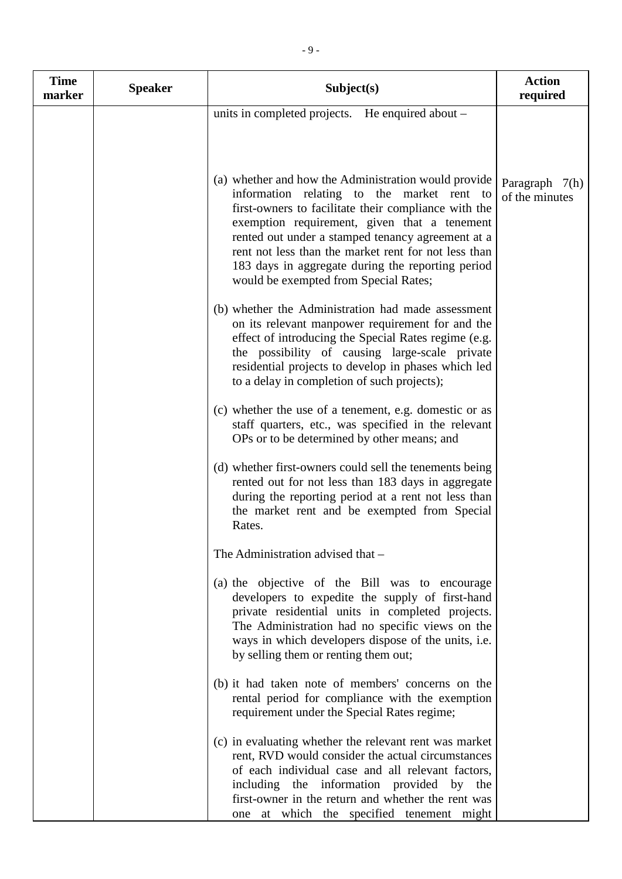| <b>Time</b><br>marker | <b>Speaker</b> | Subject(s)                                                                                                                                                                                                                                                                                                                                                                                                            | <b>Action</b><br>required        |
|-----------------------|----------------|-----------------------------------------------------------------------------------------------------------------------------------------------------------------------------------------------------------------------------------------------------------------------------------------------------------------------------------------------------------------------------------------------------------------------|----------------------------------|
|                       |                | units in completed projects. He enquired about -                                                                                                                                                                                                                                                                                                                                                                      |                                  |
|                       |                | (a) whether and how the Administration would provide<br>information relating to the market rent to<br>first-owners to facilitate their compliance with the<br>exemption requirement, given that a tenement<br>rented out under a stamped tenancy agreement at a<br>rent not less than the market rent for not less than<br>183 days in aggregate during the reporting period<br>would be exempted from Special Rates; | Paragraph 7(h)<br>of the minutes |
|                       |                | (b) whether the Administration had made assessment<br>on its relevant manpower requirement for and the<br>effect of introducing the Special Rates regime (e.g.<br>the possibility of causing large-scale private<br>residential projects to develop in phases which led<br>to a delay in completion of such projects);                                                                                                |                                  |
|                       |                | (c) whether the use of a tenement, e.g. domestic or as<br>staff quarters, etc., was specified in the relevant<br>OPs or to be determined by other means; and                                                                                                                                                                                                                                                          |                                  |
|                       |                | (d) whether first-owners could sell the tenements being<br>rented out for not less than 183 days in aggregate<br>during the reporting period at a rent not less than<br>the market rent and be exempted from Special<br>Rates.                                                                                                                                                                                        |                                  |
|                       |                | The Administration advised that -                                                                                                                                                                                                                                                                                                                                                                                     |                                  |
|                       |                | (a) the objective of the Bill was to encourage<br>developers to expedite the supply of first-hand<br>private residential units in completed projects.<br>The Administration had no specific views on the<br>ways in which developers dispose of the units, i.e.<br>by selling them or renting them out;                                                                                                               |                                  |
|                       |                | (b) it had taken note of members' concerns on the<br>rental period for compliance with the exemption<br>requirement under the Special Rates regime;                                                                                                                                                                                                                                                                   |                                  |
|                       |                | (c) in evaluating whether the relevant rent was market<br>rent, RVD would consider the actual circumstances<br>of each individual case and all relevant factors,<br>including the information provided by the<br>first-owner in the return and whether the rent was<br>one at which the specified tenement might                                                                                                      |                                  |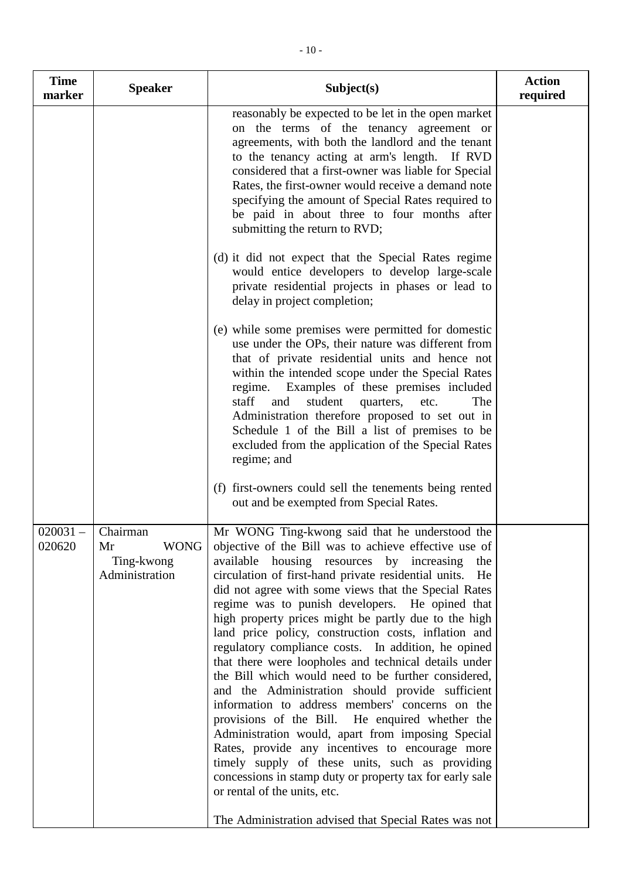| <b>Time</b><br>marker | <b>Speaker</b>                                                | Subject(s)                                                                                                                                                                                                                                                                                                                                                                                                                                                                                                                                                                                                                                                                                                                                                                                                                                                                                                                                                                                                                                                                                         | <b>Action</b><br>required |
|-----------------------|---------------------------------------------------------------|----------------------------------------------------------------------------------------------------------------------------------------------------------------------------------------------------------------------------------------------------------------------------------------------------------------------------------------------------------------------------------------------------------------------------------------------------------------------------------------------------------------------------------------------------------------------------------------------------------------------------------------------------------------------------------------------------------------------------------------------------------------------------------------------------------------------------------------------------------------------------------------------------------------------------------------------------------------------------------------------------------------------------------------------------------------------------------------------------|---------------------------|
|                       |                                                               | reasonably be expected to be let in the open market<br>on the terms of the tenancy agreement or<br>agreements, with both the landlord and the tenant<br>to the tenancy acting at arm's length. If RVD<br>considered that a first-owner was liable for Special<br>Rates, the first-owner would receive a demand note<br>specifying the amount of Special Rates required to<br>be paid in about three to four months after<br>submitting the return to RVD;                                                                                                                                                                                                                                                                                                                                                                                                                                                                                                                                                                                                                                          |                           |
|                       |                                                               | (d) it did not expect that the Special Rates regime<br>would entice developers to develop large-scale<br>private residential projects in phases or lead to<br>delay in project completion;                                                                                                                                                                                                                                                                                                                                                                                                                                                                                                                                                                                                                                                                                                                                                                                                                                                                                                         |                           |
|                       |                                                               | (e) while some premises were permitted for domestic<br>use under the OPs, their nature was different from<br>that of private residential units and hence not<br>within the intended scope under the Special Rates<br>regime. Examples of these premises included<br>staff<br>student quarters,<br>and<br>The<br>etc.<br>Administration therefore proposed to set out in<br>Schedule 1 of the Bill a list of premises to be<br>excluded from the application of the Special Rates<br>regime; and                                                                                                                                                                                                                                                                                                                                                                                                                                                                                                                                                                                                    |                           |
|                       |                                                               | (f) first-owners could sell the tenements being rented<br>out and be exempted from Special Rates.                                                                                                                                                                                                                                                                                                                                                                                                                                                                                                                                                                                                                                                                                                                                                                                                                                                                                                                                                                                                  |                           |
| $020031 -$<br>020620  | Chairman<br><b>WONG</b><br>Mr<br>Ting-kwong<br>Administration | Mr WONG Ting-kwong said that he understood the<br>objective of the Bill was to achieve effective use of<br>available housing resources by increasing<br>the<br>circulation of first-hand private residential units. He<br>did not agree with some views that the Special Rates<br>regime was to punish developers. He opined that<br>high property prices might be partly due to the high<br>land price policy, construction costs, inflation and<br>regulatory compliance costs. In addition, he opined<br>that there were loopholes and technical details under<br>the Bill which would need to be further considered,<br>and the Administration should provide sufficient<br>information to address members' concerns on the<br>provisions of the Bill. He enquired whether the<br>Administration would, apart from imposing Special<br>Rates, provide any incentives to encourage more<br>timely supply of these units, such as providing<br>concessions in stamp duty or property tax for early sale<br>or rental of the units, etc.<br>The Administration advised that Special Rates was not |                           |